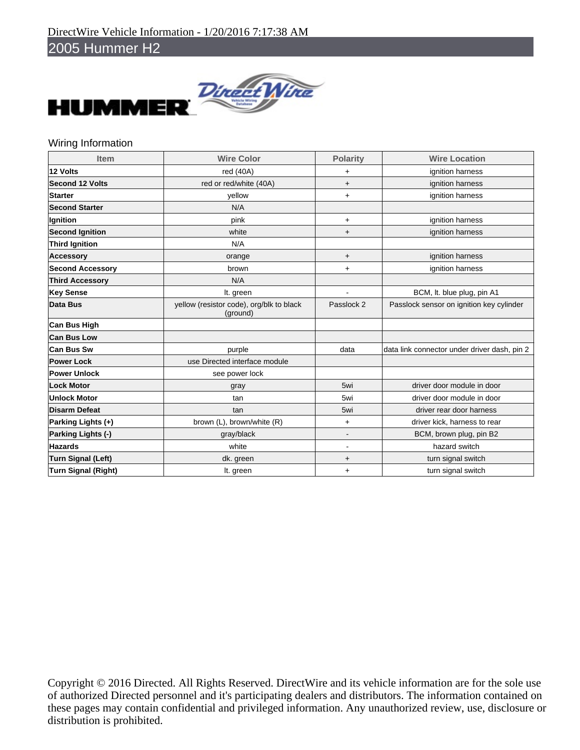

### Wiring Information

| <b>Item</b>                | <b>Wire Color</b>                                    | <b>Polarity</b> | <b>Wire Location</b>                         |
|----------------------------|------------------------------------------------------|-----------------|----------------------------------------------|
| 12 Volts                   | red (40A)                                            | $\ddot{}$       | ignition harness                             |
| <b>Second 12 Volts</b>     | red or red/white (40A)                               | $\ddot{}$       | ignition harness                             |
| <b>Starter</b>             | vellow                                               | $\ddot{}$       | ignition harness                             |
| <b>Second Starter</b>      | N/A                                                  |                 |                                              |
| Ignition                   | pink                                                 | $\ddot{}$       | ignition harness                             |
| <b>Second Ignition</b>     | white                                                | $\ddot{}$       | ignition harness                             |
| <b>Third Ignition</b>      | N/A                                                  |                 |                                              |
| <b>Accessory</b>           | orange                                               | $\ddot{}$       | ignition harness                             |
| <b>Second Accessory</b>    | brown                                                | $\ddot{}$       | ignition harness                             |
| <b>Third Accessory</b>     | N/A                                                  |                 |                                              |
| <b>Key Sense</b>           | It. green                                            |                 | BCM, It. blue plug, pin A1                   |
| <b>Data Bus</b>            | yellow (resistor code), org/blk to black<br>(ground) | Passlock 2      | Passlock sensor on ignition key cylinder     |
| <b>Can Bus High</b>        |                                                      |                 |                                              |
| <b>Can Bus Low</b>         |                                                      |                 |                                              |
| Can Bus Sw                 | purple                                               | data            | data link connector under driver dash, pin 2 |
| <b>Power Lock</b>          | use Directed interface module                        |                 |                                              |
| <b>Power Unlock</b>        | see power lock                                       |                 |                                              |
| <b>Lock Motor</b>          | gray                                                 | 5wi             | driver door module in door                   |
| <b>Unlock Motor</b>        | tan                                                  | 5wi             | driver door module in door                   |
| <b>Disarm Defeat</b>       | tan                                                  | 5wi             | driver rear door harness                     |
| Parking Lights (+)         | brown (L), brown/white (R)                           | $\ddot{}$       | driver kick, harness to rear                 |
| Parking Lights (-)         | gray/black                                           |                 | BCM, brown plug, pin B2                      |
| <b>Hazards</b>             | white                                                | $\blacksquare$  | hazard switch                                |
| <b>Turn Signal (Left)</b>  | dk. green                                            | $\ddot{}$       | turn signal switch                           |
| <b>Turn Signal (Right)</b> | It. green                                            | $\ddot{}$       | turn signal switch                           |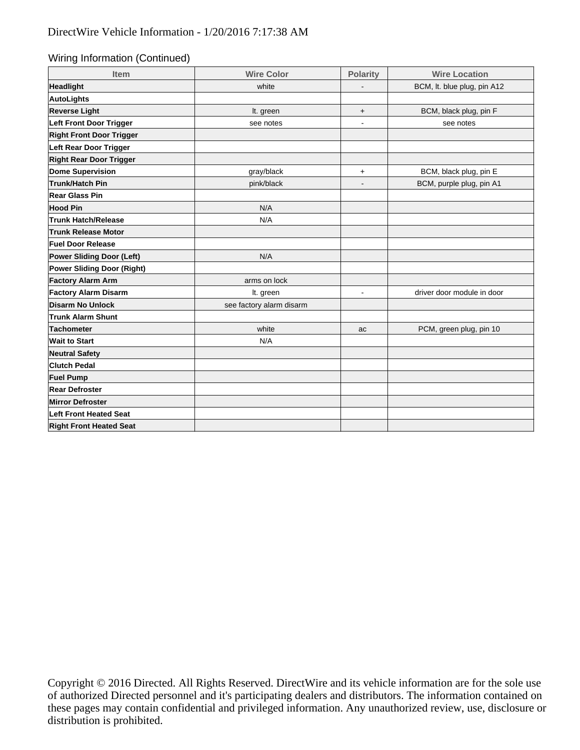Wiring Information (Continued)

| Item                            | <b>Wire Color</b>        | <b>Polarity</b> | <b>Wire Location</b>        |
|---------------------------------|--------------------------|-----------------|-----------------------------|
| Headlight                       | white                    |                 | BCM, It. blue plug, pin A12 |
| AutoLights                      |                          |                 |                             |
| <b>Reverse Light</b>            | It. green                | $\ddot{}$       | BCM, black plug, pin F      |
| Left Front Door Trigger         | see notes                | $\blacksquare$  | see notes                   |
| <b>Right Front Door Trigger</b> |                          |                 |                             |
| Left Rear Door Trigger          |                          |                 |                             |
| <b>Right Rear Door Trigger</b>  |                          |                 |                             |
| Dome Supervision                | gray/black               | $\ddot{}$       | BCM, black plug, pin E      |
| Trunk/Hatch Pin                 | pink/black               | $\blacksquare$  | BCM, purple plug, pin A1    |
| Rear Glass Pin                  |                          |                 |                             |
| <b>Hood Pin</b>                 | N/A                      |                 |                             |
| <b>Trunk Hatch/Release</b>      | N/A                      |                 |                             |
| <b>Trunk Release Motor</b>      |                          |                 |                             |
| <b>Fuel Door Release</b>        |                          |                 |                             |
| Power Sliding Door (Left)       | N/A                      |                 |                             |
| Power Sliding Door (Right)      |                          |                 |                             |
| <b>Factory Alarm Arm</b>        | arms on lock             |                 |                             |
| <b>Factory Alarm Disarm</b>     | It. green                | ٠               | driver door module in door  |
| Disarm No Unlock                | see factory alarm disarm |                 |                             |
| <b>Trunk Alarm Shunt</b>        |                          |                 |                             |
| Tachometer                      | white                    | ac              | PCM, green plug, pin 10     |
| <b>Wait to Start</b>            | N/A                      |                 |                             |
| <b>Neutral Safety</b>           |                          |                 |                             |
| <b>Clutch Pedal</b>             |                          |                 |                             |
| <b>Fuel Pump</b>                |                          |                 |                             |
| <b>Rear Defroster</b>           |                          |                 |                             |
| <b>Mirror Defroster</b>         |                          |                 |                             |
| <b>Left Front Heated Seat</b>   |                          |                 |                             |
| <b>Right Front Heated Seat</b>  |                          |                 |                             |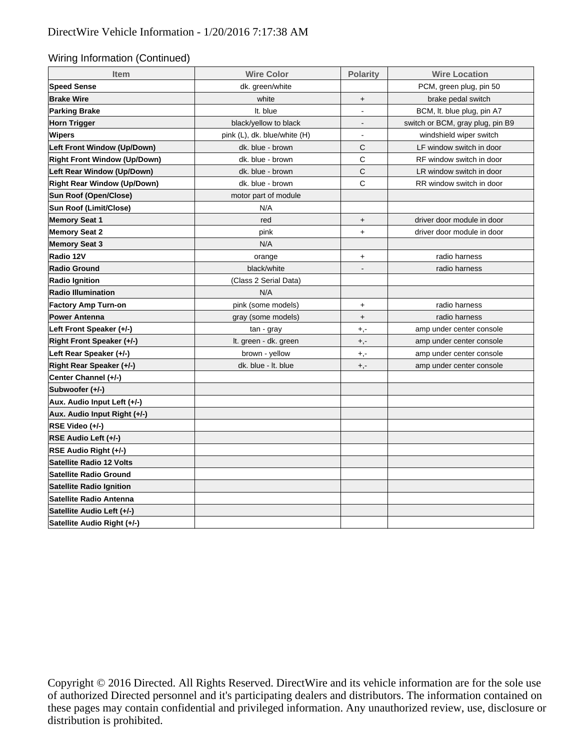#### Wiring Information (Continued)

| <b>Item</b>                         | <b>Wire Color</b>            | <b>Polarity</b>                  | <b>Wire Location</b>             |  |
|-------------------------------------|------------------------------|----------------------------------|----------------------------------|--|
| <b>Speed Sense</b>                  | dk. green/white              |                                  | PCM, green plug, pin 50          |  |
| <b>Brake Wire</b>                   | white                        | $\begin{array}{c} + \end{array}$ | brake pedal switch               |  |
| <b>Parking Brake</b>                | It. blue                     | $\overline{a}$                   | BCM, It. blue plug, pin A7       |  |
| <b>Horn Trigger</b>                 | black/yellow to black        | $\overline{\phantom{a}}$         | switch or BCM, gray plug, pin B9 |  |
| Wipers                              | pink (L), dk. blue/white (H) | $\blacksquare$                   | windshield wiper switch          |  |
| Left Front Window (Up/Down)         | dk. blue - brown             | C                                | LF window switch in door         |  |
| <b>Right Front Window (Up/Down)</b> | dk. blue - brown             | $\mathsf C$                      | RF window switch in door         |  |
| Left Rear Window (Up/Down)          | dk. blue - brown             | C                                | LR window switch in door         |  |
| <b>Right Rear Window (Up/Down)</b>  | dk. blue - brown             | C                                | RR window switch in door         |  |
| Sun Roof (Open/Close)               | motor part of module         |                                  |                                  |  |
| Sun Roof (Limit/Close)              | N/A                          |                                  |                                  |  |
| <b>Memory Seat 1</b>                | red                          | $+$                              | driver door module in door       |  |
| <b>Memory Seat 2</b>                | pink                         | $+$                              | driver door module in door       |  |
| <b>Memory Seat 3</b>                | N/A                          |                                  |                                  |  |
| Radio 12V                           | orange                       | $\ddot{}$                        | radio harness                    |  |
| <b>Radio Ground</b>                 | black/white                  | $\overline{\phantom{a}}$         | radio harness                    |  |
| <b>Radio Ignition</b>               | (Class 2 Serial Data)        |                                  |                                  |  |
| <b>Radio Illumination</b>           | N/A                          |                                  |                                  |  |
| <b>Factory Amp Turn-on</b>          | pink (some models)           | $+$                              | radio harness                    |  |
| <b>Power Antenna</b>                | gray (some models)           | $\begin{array}{c} + \end{array}$ | radio harness                    |  |
| Left Front Speaker (+/-)            | tan - gray                   | $+,-$                            | amp under center console         |  |
| Right Front Speaker (+/-)           | It. green - dk. green        | $+,-$                            | amp under center console         |  |
| Left Rear Speaker (+/-)             | brown - yellow               | $+,-$                            | amp under center console         |  |
| Right Rear Speaker (+/-)            | dk. blue - It. blue          | $+,-$                            | amp under center console         |  |
| Center Channel (+/-)                |                              |                                  |                                  |  |
| Subwoofer (+/-)                     |                              |                                  |                                  |  |
| Aux. Audio Input Left (+/-)         |                              |                                  |                                  |  |
| Aux. Audio Input Right (+/-)        |                              |                                  |                                  |  |
| RSE Video (+/-)                     |                              |                                  |                                  |  |
| RSE Audio Left (+/-)                |                              |                                  |                                  |  |
| RSE Audio Right (+/-)               |                              |                                  |                                  |  |
| <b>Satellite Radio 12 Volts</b>     |                              |                                  |                                  |  |
| <b>Satellite Radio Ground</b>       |                              |                                  |                                  |  |
| <b>Satellite Radio Ignition</b>     |                              |                                  |                                  |  |
| Satellite Radio Antenna             |                              |                                  |                                  |  |
| Satellite Audio Left (+/-)          |                              |                                  |                                  |  |
| Satellite Audio Right (+/-)         |                              |                                  |                                  |  |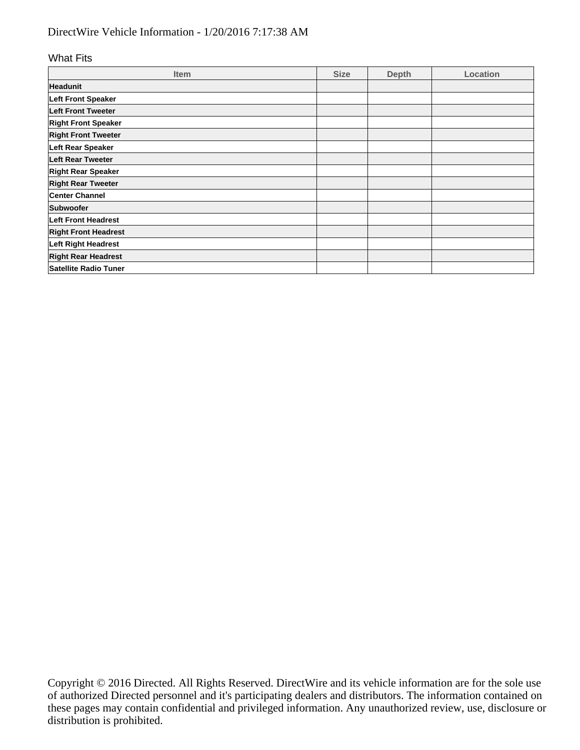# DirectWire Vehicle Information - 1/20/2016 7:17:38 AM

#### What Fits

| <b>Item</b>                  | <b>Size</b> | <b>Depth</b> | Location |
|------------------------------|-------------|--------------|----------|
| <b>Headunit</b>              |             |              |          |
| Left Front Speaker           |             |              |          |
| Left Front Tweeter           |             |              |          |
| <b>Right Front Speaker</b>   |             |              |          |
| <b>Right Front Tweeter</b>   |             |              |          |
| Left Rear Speaker            |             |              |          |
| <b>Left Rear Tweeter</b>     |             |              |          |
| <b>Right Rear Speaker</b>    |             |              |          |
| <b>Right Rear Tweeter</b>    |             |              |          |
| <b>Center Channel</b>        |             |              |          |
| Subwoofer                    |             |              |          |
| <b>Left Front Headrest</b>   |             |              |          |
| <b>Right Front Headrest</b>  |             |              |          |
| Left Right Headrest          |             |              |          |
| <b>Right Rear Headrest</b>   |             |              |          |
| <b>Satellite Radio Tuner</b> |             |              |          |